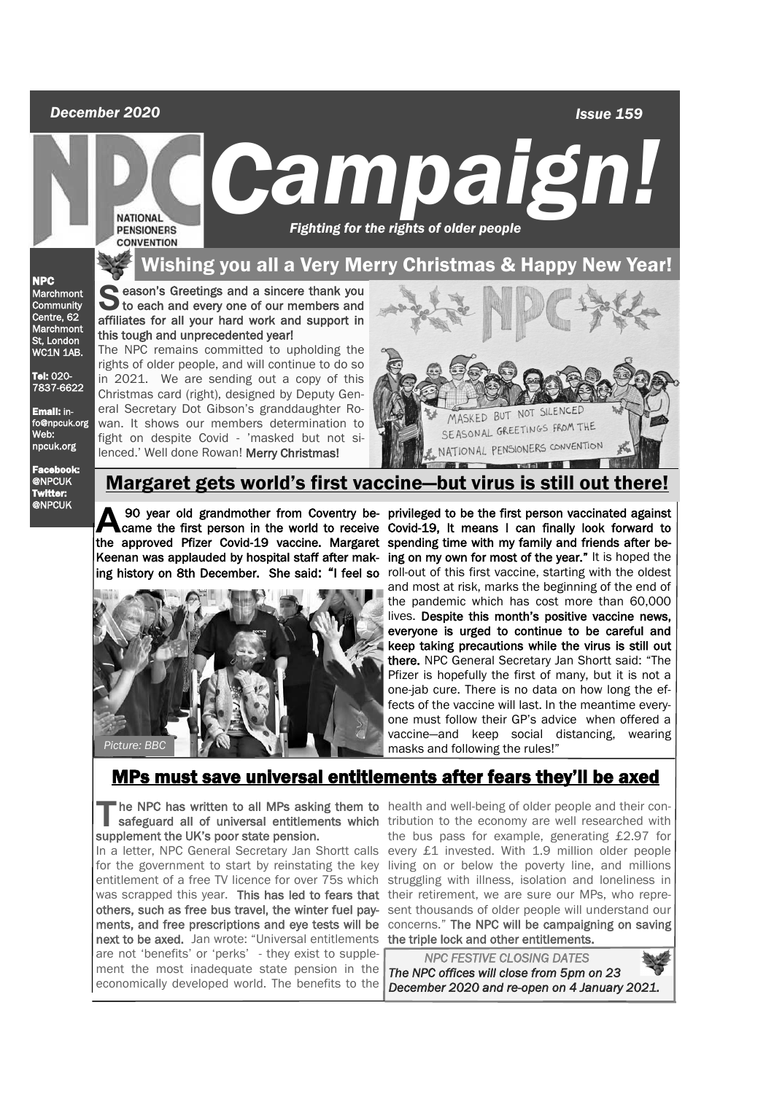#### *December 2020*

 *Issue 159*

# **EXERCT OF AMPAIGN.**<br>PENSIONERS Fighting for the rights of older people  *Fighting for the rights of older people*

this tough and unprecedented year!

rights of older people, and will continue to do so

Christmas card (right), designed by Deputy General Secretary Dot Gibson's granddaughter Ro-

fight on despite Covid - 'masked but not silenced.' Well done Rowan! Merry Christmas!

#### Wishing you all a Very Merry Christmas & Happy New Year!

NPC Marchmont **Community** Centre, 62 Marchmont St, London WC1N 1AB

Tel: 020- 7837-6622

Email: info@npcuk.org Web: npcuk.org

Facebook: @NPCUK Twitter: @NPCUK

#### Margaret gets world's first vaccine—but virus is still out



**A** 90 year old grandmother from Coventry be- privileged to be the first person vaccinated against<br>came the first person in the world to receive Covid-19, It means I can finally look forward to<br>the controved Pierre Covid-1 90 year old grandmother from Coventry be-privileged to be the first person vaccinated against the approved Pfizer Covid-19 vaccine. Margaret spending time with my family and friends after be-Keenan was applauded by hospital staff after mak- ing on my own for most of the year." It is hoped the ing history on 8th December. She said: "I feel so roll-out of this first vaccine, starting with the oldest and most at risk, marks the beginning of the end of the pandemic which has cost more than 60,000 lives. Despite this month's positive vaccine news, everyone is urged to continue to be careful and keep taking precautions while the virus is still out there. NPC General Secretary Jan Shortt said: "The Pfizer is hopefully the first of many, but it is not a one-jab cure. There is no data on how long the effects of the vaccine will last. In the meantime everyone must follow their GP's advice when offered a vaccine—and keep social distancing, wearing masks and following the rules!"

### MPs must save universal entitlements after fears they'll be axed

The NPC has written to all MPs askin<br>
safeguard all of universal entitleme<br>
supplement the UK's poor state pension.

was scrapped this year. This has led to fears that their retirement, we are sure our MPs, who reprenext to be axed. Jan wrote: "Universal entitlements the triple lock and other entitlements. are not 'benefits' or 'perks' - they exist to supplement the most inadequate state pension in the economically developed world. The benefits to the

he NPC has written to all MPs asking them to health and well-being of older people and their consafeguard all of universal entitlements which tribution to the economy are well researched with In a letter, NPC General Secretary Jan Shortt calls every £1 invested. With 1.9 million older people for the government to start by reinstating the key living on or below the poverty line, and millions entitlement of a free TV licence for over 75s which struggling with illness, isolation and loneliness in others, such as free bus travel, the winter fuel pay- sent thousands of older people will understand our ments, and free prescriptions and eye tests will be concerns." The NPC will be campaigning on saving the bus pass for example, generating £2.97 for

> *NPC FESTIVE CLOSING DATES The NPC offices will close from 5pm on 23 December 2020 and re-open on 4 January 2021.*